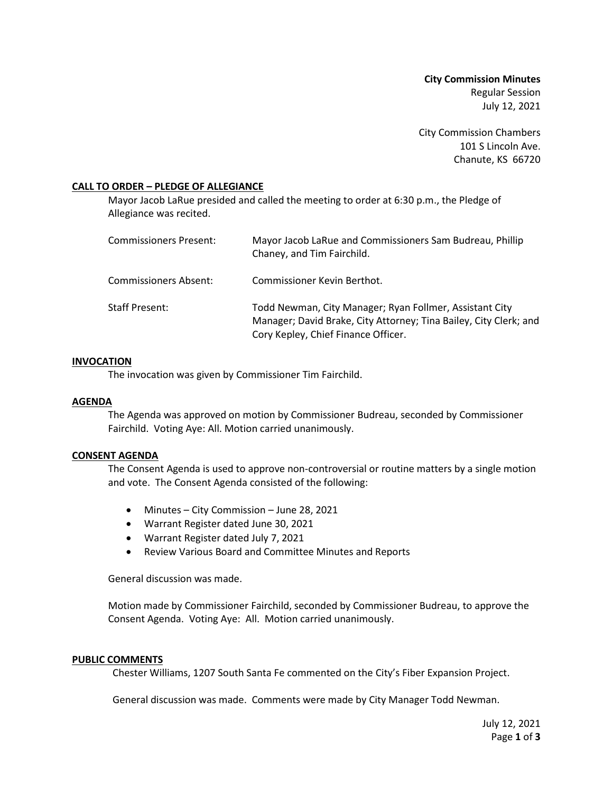**City Commission Minutes** Regular Session July 12, 2021

City Commission Chambers 101 S Lincoln Ave. Chanute, KS 66720

## **CALL TO ORDER – PLEDGE OF ALLEGIANCE**

Mayor Jacob LaRue presided and called the meeting to order at 6:30 p.m., the Pledge of Allegiance was recited.

| <b>Commissioners Present:</b> | Mayor Jacob LaRue and Commissioners Sam Budreau, Phillip<br>Chaney, and Tim Fairchild.                                                                              |
|-------------------------------|---------------------------------------------------------------------------------------------------------------------------------------------------------------------|
| Commissioners Absent:         | Commissioner Kevin Berthot.                                                                                                                                         |
| Staff Present:                | Todd Newman, City Manager; Ryan Follmer, Assistant City<br>Manager; David Brake, City Attorney; Tina Bailey, City Clerk; and<br>Cory Kepley, Chief Finance Officer. |

### **INVOCATION**

The invocation was given by Commissioner Tim Fairchild.

## **AGENDA**

The Agenda was approved on motion by Commissioner Budreau, seconded by Commissioner Fairchild. Voting Aye: All. Motion carried unanimously.

### **CONSENT AGENDA**

The Consent Agenda is used to approve non-controversial or routine matters by a single motion and vote. The Consent Agenda consisted of the following:

- Minutes City Commission June 28, 2021
- Warrant Register dated June 30, 2021
- Warrant Register dated July 7, 2021
- Review Various Board and Committee Minutes and Reports

General discussion was made.

Motion made by Commissioner Fairchild, seconded by Commissioner Budreau, to approve the Consent Agenda. Voting Aye: All. Motion carried unanimously.

### **PUBLIC COMMENTS**

Chester Williams, 1207 South Santa Fe commented on the City's Fiber Expansion Project.

General discussion was made. Comments were made by City Manager Todd Newman.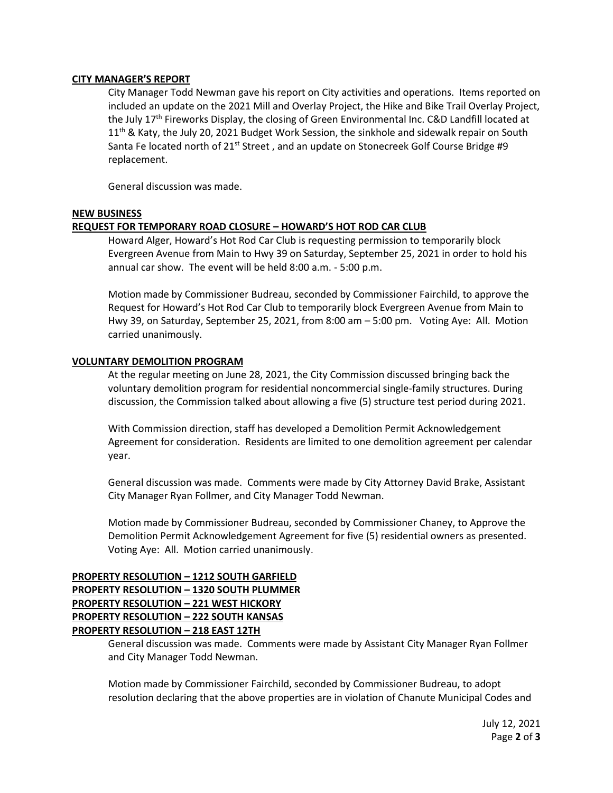## **CITY MANAGER'S REPORT**

City Manager Todd Newman gave his report on City activities and operations. Items reported on included an update on the 2021 Mill and Overlay Project, the Hike and Bike Trail Overlay Project, the July 17<sup>th</sup> Fireworks Display, the closing of Green Environmental Inc. C&D Landfill located at  $11<sup>th</sup>$  & Katy, the July 20, 2021 Budget Work Session, the sinkhole and sidewalk repair on South Santa Fe located north of  $21<sup>st</sup>$  Street, and an update on Stonecreek Golf Course Bridge #9 replacement.

General discussion was made.

## **NEW BUSINESS**

# **REQUEST FOR TEMPORARY ROAD CLOSURE – HOWARD'S HOT ROD CAR CLUB**

Howard Alger, Howard's Hot Rod Car Club is requesting permission to temporarily block Evergreen Avenue from Main to Hwy 39 on Saturday, September 25, 2021 in order to hold his annual car show. The event will be held 8:00 a.m. - 5:00 p.m.

Motion made by Commissioner Budreau, seconded by Commissioner Fairchild, to approve the Request for Howard's Hot Rod Car Club to temporarily block Evergreen Avenue from Main to Hwy 39, on Saturday, September 25, 2021, from 8:00 am – 5:00 pm. Voting Aye: All. Motion carried unanimously.

### **VOLUNTARY DEMOLITION PROGRAM**

At the regular meeting on June 28, 2021, the City Commission discussed bringing back the voluntary demolition program for residential noncommercial single-family structures. During discussion, the Commission talked about allowing a five (5) structure test period during 2021.

With Commission direction, staff has developed a Demolition Permit Acknowledgement Agreement for consideration. Residents are limited to one demolition agreement per calendar year.

General discussion was made. Comments were made by City Attorney David Brake, Assistant City Manager Ryan Follmer, and City Manager Todd Newman.

Motion made by Commissioner Budreau, seconded by Commissioner Chaney, to Approve the Demolition Permit Acknowledgement Agreement for five (5) residential owners as presented. Voting Aye: All. Motion carried unanimously.

# **PROPERTY RESOLUTION – 1212 SOUTH GARFIELD PROPERTY RESOLUTION – 1320 SOUTH PLUMMER PROPERTY RESOLUTION – 221 WEST HICKORY PROPERTY RESOLUTION – 222 SOUTH KANSAS PROPERTY RESOLUTION – 218 EAST 12TH**

General discussion was made. Comments were made by Assistant City Manager Ryan Follmer and City Manager Todd Newman.

Motion made by Commissioner Fairchild, seconded by Commissioner Budreau, to adopt resolution declaring that the above properties are in violation of Chanute Municipal Codes and